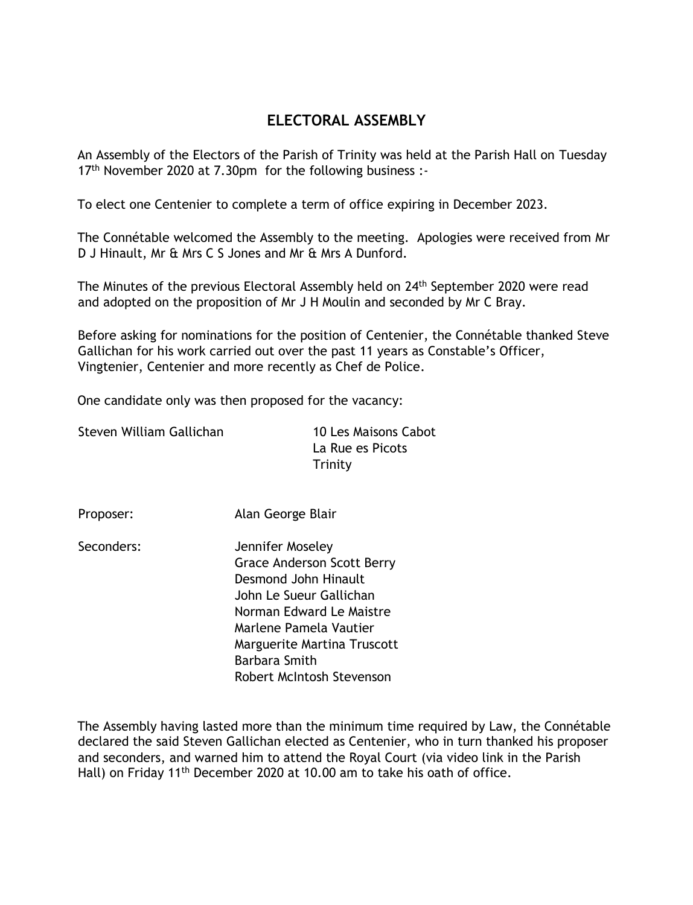## **ELECTORAL ASSEMBLY**

An Assembly of the Electors of the Parish of Trinity was held at the Parish Hall on Tuesday 17<sup>th</sup> November 2020 at 7.30pm for the following business :-

To elect one Centenier to complete a term of office expiring in December 2023.

The Connétable welcomed the Assembly to the meeting. Apologies were received from Mr D J Hinault, Mr & Mrs C S Jones and Mr & Mrs A Dunford.

The Minutes of the previous Electoral Assembly held on 24<sup>th</sup> September 2020 were read and adopted on the proposition of Mr J H Moulin and seconded by Mr C Bray.

Before asking for nominations for the position of Centenier, the Connétable thanked Steve Gallichan for his work carried out over the past 11 years as Constable's Officer, Vingtenier, Centenier and more recently as Chef de Police.

One candidate only was then proposed for the vacancy:

Steven William Gallichan 10 Les Maisons Cabot

La Rue es Picots Trinity

Proposer: Alan George Blair

Seconders: Jennifer Moseley Grace Anderson Scott Berry Desmond John Hinault John Le Sueur Gallichan Norman Edward Le Maistre Marlene Pamela Vautier Marguerite Martina Truscott Barbara Smith Robert McIntosh Stevenson

The Assembly having lasted more than the minimum time required by Law, the Connétable declared the said Steven Gallichan elected as Centenier, who in turn thanked his proposer and seconders, and warned him to attend the Royal Court (via video link in the Parish Hall) on Friday 11<sup>th</sup> December 2020 at 10.00 am to take his oath of office.